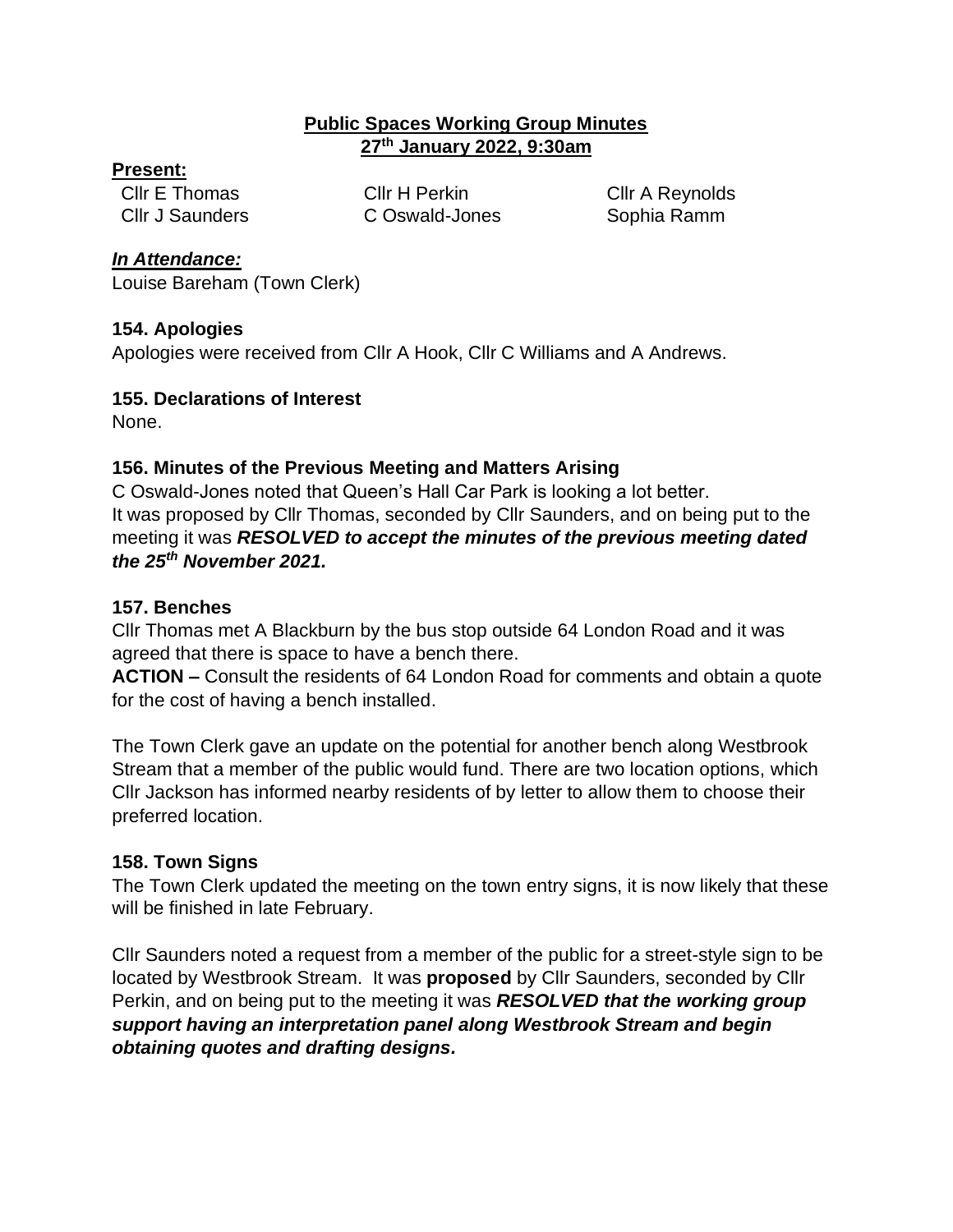#### **Public Spaces Working Group Minutes 27th January 2022, 9:30am**

#### **Present:**

Cllr E Thomas Cllr H Perkin Cllr A Reynolds

Cllr J Saunders C Oswald-Jones Sophia Ramm

#### *In Attendance:*

Louise Bareham (Town Clerk)

#### **154. Apologies**

Apologies were received from Cllr A Hook, Cllr C Williams and A Andrews.

### **155. Declarations of Interest**

None.

# **156. Minutes of the Previous Meeting and Matters Arising**

C Oswald-Jones noted that Queen's Hall Car Park is looking a lot better. It was proposed by Cllr Thomas, seconded by Cllr Saunders, and on being put to the meeting it was *RESOLVED to accept the minutes of the previous meeting dated the 25th November 2021.*

## **157. Benches**

Cllr Thomas met A Blackburn by the bus stop outside 64 London Road and it was agreed that there is space to have a bench there.

**ACTION –** Consult the residents of 64 London Road for comments and obtain a quote for the cost of having a bench installed.

The Town Clerk gave an update on the potential for another bench along Westbrook Stream that a member of the public would fund. There are two location options, which Cllr Jackson has informed nearby residents of by letter to allow them to choose their preferred location.

## **158. Town Signs**

The Town Clerk updated the meeting on the town entry signs, it is now likely that these will be finished in late February.

Cllr Saunders noted a request from a member of the public for a street-style sign to be located by Westbrook Stream. It was **proposed** by Cllr Saunders, seconded by Cllr Perkin, and on being put to the meeting it was *RESOLVED that the working group support having an interpretation panel along Westbrook Stream and begin obtaining quotes and drafting designs.*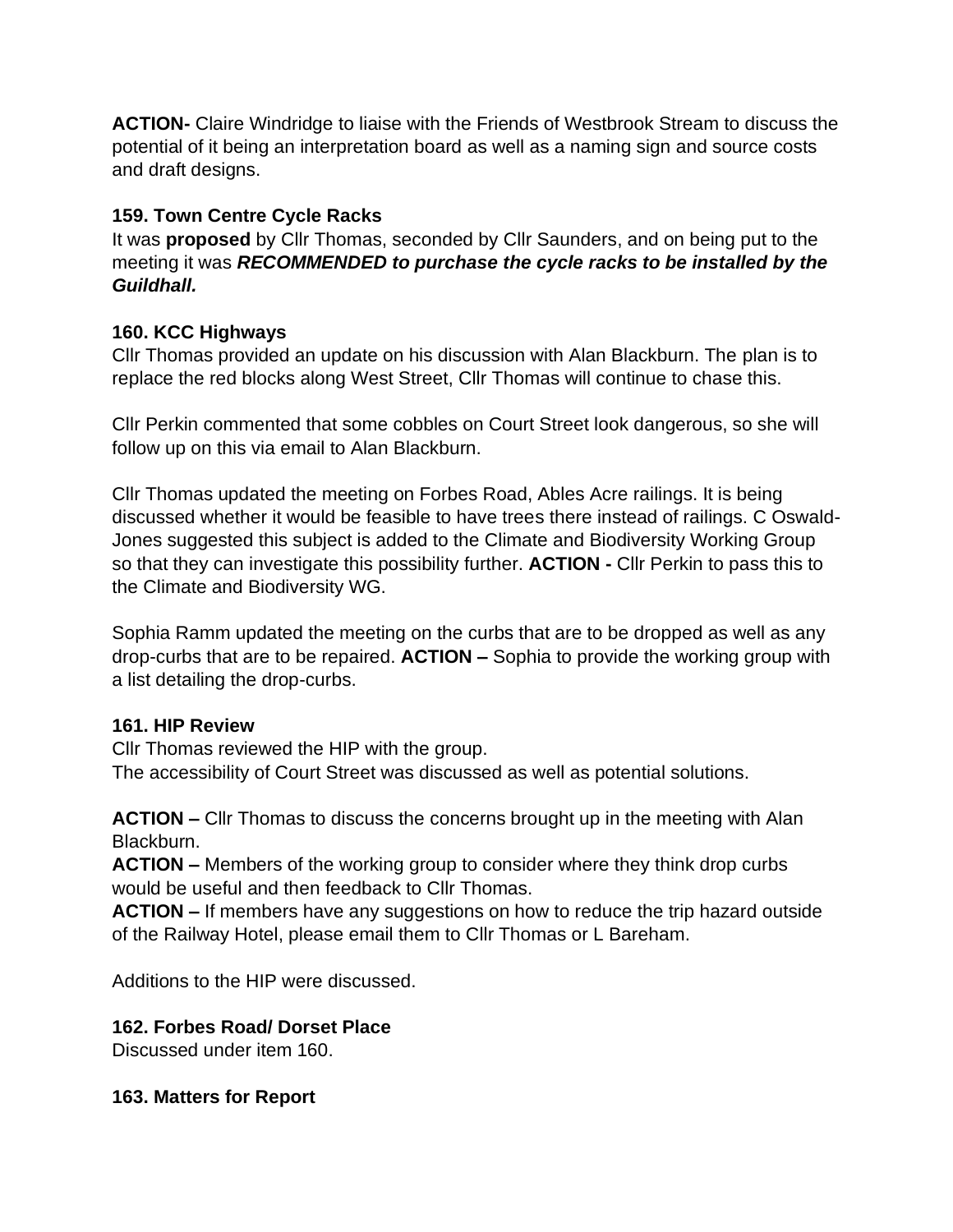**ACTION-** Claire Windridge to liaise with the Friends of Westbrook Stream to discuss the potential of it being an interpretation board as well as a naming sign and source costs and draft designs.

### **159. Town Centre Cycle Racks**

It was **proposed** by Cllr Thomas, seconded by Cllr Saunders, and on being put to the meeting it was *RECOMMENDED to purchase the cycle racks to be installed by the Guildhall.*

## **160. KCC Highways**

Cllr Thomas provided an update on his discussion with Alan Blackburn. The plan is to replace the red blocks along West Street, Cllr Thomas will continue to chase this.

Cllr Perkin commented that some cobbles on Court Street look dangerous, so she will follow up on this via email to Alan Blackburn.

Cllr Thomas updated the meeting on Forbes Road, Ables Acre railings. It is being discussed whether it would be feasible to have trees there instead of railings. C Oswald-Jones suggested this subject is added to the Climate and Biodiversity Working Group so that they can investigate this possibility further. **ACTION -** Cllr Perkin to pass this to the Climate and Biodiversity WG.

Sophia Ramm updated the meeting on the curbs that are to be dropped as well as any drop-curbs that are to be repaired. **ACTION –** Sophia to provide the working group with a list detailing the drop-curbs.

## **161. HIP Review**

Cllr Thomas reviewed the HIP with the group. The accessibility of Court Street was discussed as well as potential solutions.

**ACTION –** Cllr Thomas to discuss the concerns brought up in the meeting with Alan Blackburn.

**ACTION –** Members of the working group to consider where they think drop curbs would be useful and then feedback to Cllr Thomas.

**ACTION –** If members have any suggestions on how to reduce the trip hazard outside of the Railway Hotel, please email them to Cllr Thomas or L Bareham.

Additions to the HIP were discussed.

## **162. Forbes Road/ Dorset Place**

Discussed under item 160.

#### **163. Matters for Report**